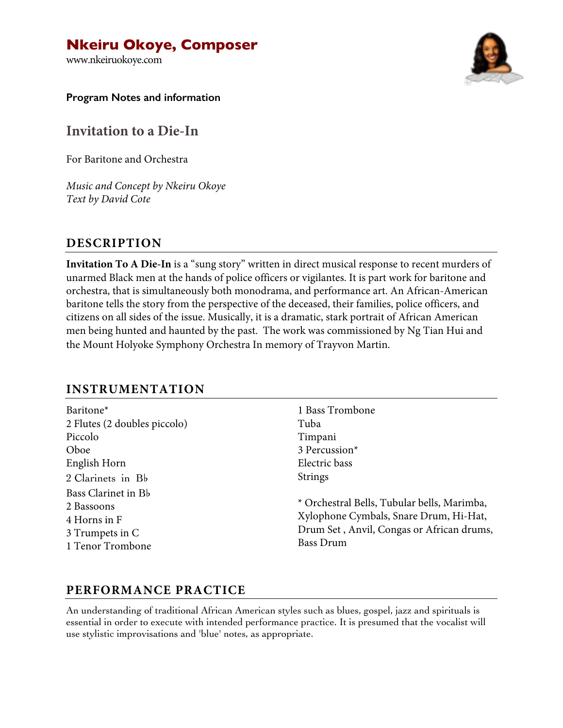# **Nkeiru Okoye, Composer**

www.nkeiruokoye.com



**Program Notes and information**

**Invitation to a Die-In**

For Baritone and Orchestra

*Music and Concept by Nkeiru Okoye Text by David Cote*

## **DESCRIPTION**

**Invitation To A Die-In** is a "sung story" written in direct musical response to recent murders of unarmed Black men at the hands of police officers or vigilantes. It is part work for baritone and orchestra, that is simultaneously both monodrama, and performance art. An African-American baritone tells the story from the perspective of the deceased, their families, police officers, and citizens on all sides of the issue. Musically, it is a dramatic, stark portrait of African American men being hunted and haunted by the past. The work was commissioned by Ng Tian Hui and the Mount Holyoke Symphony Orchestra In memory of Trayvon Martin.

## **INSTRUMENTATION**

| Baritone <sup>*</sup>        |
|------------------------------|
| 2 Flutes (2 doubles piccolo) |
| Piccolo                      |
| Oboe                         |
| English Horn                 |
| 2 Clarinets in Bb            |
| Bass Clarinet in Bb          |
| 2 Bassoons                   |
| 4 Horns in F                 |
| 3 Trumpets in C              |
| 1 Tenor Trombone             |

1 Bass Trombone Tuba Timpani 3 Percussion\* Electric bass Strings

\* Orchestral Bells, Tubular bells, Marimba, Xylophone Cymbals, Snare Drum, Hi-Hat, Drum Set , Anvil, Congas or African drums, Bass Drum

# **PERFORMANCE PRACTICE**

An understanding of traditional African American styles such as blues, gospel, jazz and spirituals is essential in order to execute with intended performance practice. It is presumed that the vocalist will use stylistic improvisations and 'blue' notes, as appropriate.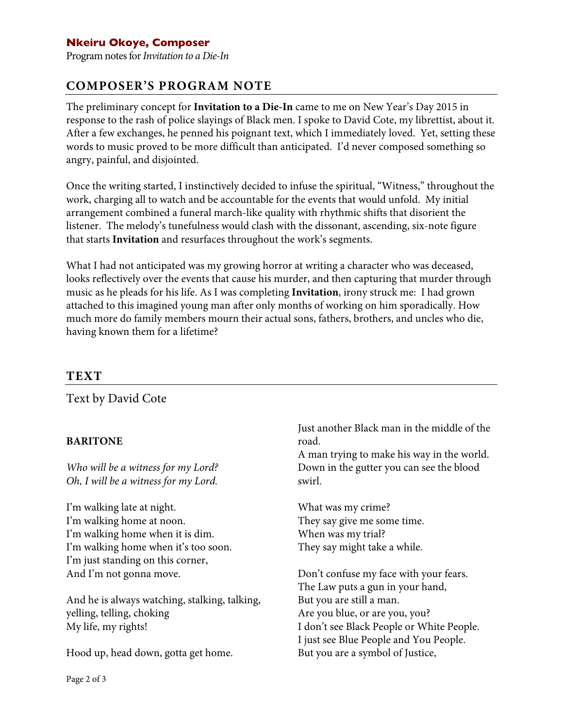## **Nkeiru Okoye, Composer**

Program notes for *Invitation to a Die-In*

## **COMPOSER'S PROGRAM NOTE**

The preliminary concept for **Invitation to a Die-In** came to me on New Year's Day 2015 in response to the rash of police slayings of Black men. I spoke to David Cote, my librettist, about it. After a few exchanges, he penned his poignant text, which I immediately loved. Yet, setting these words to music proved to be more difficult than anticipated. I'd never composed something so angry, painful, and disjointed.

Once the writing started, I instinctively decided to infuse the spiritual, "Witness," throughout the work, charging all to watch and be accountable for the events that would unfold. My initial arrangement combined a funeral march-like quality with rhythmic shifts that disorient the listener. The melody's tunefulness would clash with the dissonant, ascending, six-note figure that starts **Invitation** and resurfaces throughout the work's segments.

What I had not anticipated was my growing horror at writing a character who was deceased, looks reflectively over the events that cause his murder, and then capturing that murder through music as he pleads for his life. As I was completing **Invitation**, irony struck me: I had grown attached to this imagined young man after only months of working on him sporadically. How much more do family members mourn their actual sons, fathers, brothers, and uncles who die, having known them for a lifetime?

## **TEXT**

Text by David Cote

#### **BARITONE**

*Who will be a witness for my Lord? Oh, I will be a witness for my Lord.* 

I'm walking late at night. I'm walking home at noon. I'm walking home when it is dim. I'm walking home when it's too soon. I'm just standing on this corner, And I'm not gonna move.

And he is always watching, stalking, talking, yelling, telling, choking My life, my rights!

Hood up, head down, gotta get home.

Just another Black man in the middle of the road.

A man trying to make his way in the world. Down in the gutter you can see the blood swirl.

What was my crime? They say give me some time. When was my trial? They say might take a while.

Don't confuse my face with your fears. The Law puts a gun in your hand, But you are still a man. Are you blue, or are you, you? I don't see Black People or White People. I just see Blue People and You People. But you are a symbol of Justice,